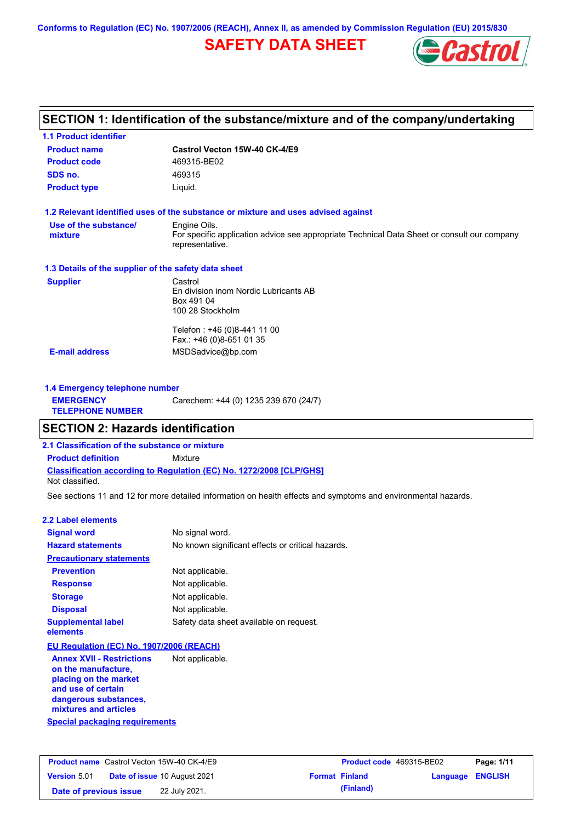**Conforms to Regulation (EC) No. 1907/2006 (REACH), Annex II, as amended by Commission Regulation (EU) 2015/830**

# **SAFETY DATA SHEET**



# **SECTION 1: Identification of the substance/mixture and of the company/undertaking**

| Castrol Vecton 15W-40 CK-4/E9                                                                                  |
|----------------------------------------------------------------------------------------------------------------|
| 469315-BE02                                                                                                    |
| 469315                                                                                                         |
| Liquid.                                                                                                        |
| 1.2 Relevant identified uses of the substance or mixture and uses advised against                              |
| Engine Oils.                                                                                                   |
| For specific application advice see appropriate Technical Data Sheet or consult our company<br>representative. |
| 1.3 Details of the supplier of the safety data sheet                                                           |
| Castrol                                                                                                        |
| En division inom Nordic Lubricants AB                                                                          |
| Box 491 04                                                                                                     |
| 100 28 Stockholm                                                                                               |
| Telefon: +46 (0)8-441 11 00                                                                                    |
| Fax.: +46 (0)8-651 01 35                                                                                       |
| MSDSadvice@bp.com                                                                                              |
|                                                                                                                |

| 1.4 Emergency telephone number              |                                       |
|---------------------------------------------|---------------------------------------|
| <b>EMERGENCY</b><br><b>TELEPHONE NUMBER</b> | Carechem: +44 (0) 1235 239 670 (24/7) |

### **SECTION 2: Hazards identification**

**2.1 Classification of the substance or mixture**

**Classification according to Regulation (EC) No. 1272/2008 [CLP/GHS] Product definition** Mixture

Not classified.

See sections 11 and 12 for more detailed information on health effects and symptoms and environmental hazards.

#### **2.2 Label elements**

| <b>Signal word</b>                                      | No signal word.                                   |
|---------------------------------------------------------|---------------------------------------------------|
| <b>Hazard statements</b>                                | No known significant effects or critical hazards. |
| <b>Precautionary statements</b>                         |                                                   |
| <b>Prevention</b>                                       | Not applicable.                                   |
| <b>Response</b>                                         | Not applicable.                                   |
| <b>Storage</b>                                          | Not applicable.                                   |
| <b>Disposal</b>                                         | Not applicable.                                   |
| <b>Supplemental label</b><br>elements                   | Safety data sheet available on request.           |
| EU Regulation (EC) No. 1907/2006 (REACH)                |                                                   |
| <b>Annex XVII - Restrictions</b><br>on the manufacture, | Not applicable.                                   |

**Special packaging requirements placing on the market and use of certain dangerous substances, mixtures and articles**

|                        | <b>Product name</b> Castrol Vecton 15W-40 CK-4/E9 | <b>Product code</b> 469315-BE02 |                         | Page: 1/11 |
|------------------------|---------------------------------------------------|---------------------------------|-------------------------|------------|
| <b>Version 5.01</b>    | <b>Date of issue 10 August 2021</b>               | <b>Format Finland</b>           | <b>Language ENGLISH</b> |            |
| Date of previous issue | 22 July 2021.                                     | (Finland)                       |                         |            |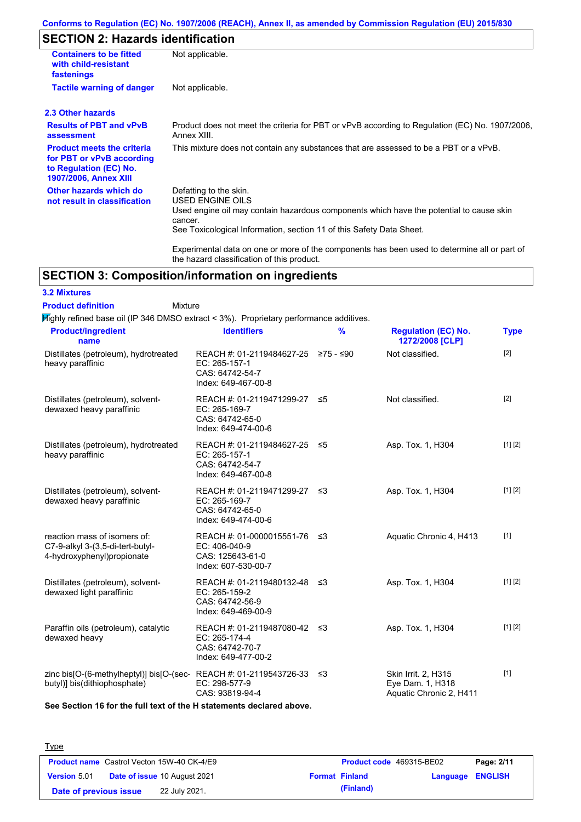### **Conforms to Regulation (EC) No. 1907/2006 (REACH), Annex II, as amended by Commission Regulation (EU) 2015/830**

# **SECTION 2: Hazards identification**

| <b>Containers to be fitted</b><br>with child-resistant<br>fastenings                                                     | Not applicable.                                                                                                                                                                                                                 |
|--------------------------------------------------------------------------------------------------------------------------|---------------------------------------------------------------------------------------------------------------------------------------------------------------------------------------------------------------------------------|
| <b>Tactile warning of danger</b>                                                                                         | Not applicable.                                                                                                                                                                                                                 |
| 2.3 Other hazards                                                                                                        |                                                                                                                                                                                                                                 |
| <b>Results of PBT and vPvB</b><br>assessment                                                                             | Product does not meet the criteria for PBT or vPvB according to Regulation (EC) No. 1907/2006,<br>Annex XIII.                                                                                                                   |
| <b>Product meets the criteria</b><br>for PBT or vPvB according<br>to Regulation (EC) No.<br><b>1907/2006, Annex XIII</b> | This mixture does not contain any substances that are assessed to be a PBT or a vPvB.                                                                                                                                           |
| Other hazards which do<br>not result in classification                                                                   | Defatting to the skin.<br><b>USED ENGINE OILS</b><br>Used engine oil may contain hazardous components which have the potential to cause skin<br>cancer.<br>See Toxicological Information, section 11 of this Safety Data Sheet. |
|                                                                                                                          | Experimental data on one or more of the components has been used to determine all or part of<br>the hazard classification of this product.                                                                                      |

## **SECTION 3: Composition/information on ingredients**

**3.2 Mixtures Product definition**

#### Mixture

 $H$ ighly refined base oil (IP 346 DMSO extract < 3%). Proprietary performance additives.

| <b>Product/ingredient</b><br>name                                                                    | <b>Identifiers</b>                                                                             | $\frac{9}{6}$ | <b>Regulation (EC) No.</b><br>1272/2008 [CLP]                      | <b>Type</b> |
|------------------------------------------------------------------------------------------------------|------------------------------------------------------------------------------------------------|---------------|--------------------------------------------------------------------|-------------|
| Distillates (petroleum), hydrotreated<br>heavy paraffinic                                            | REACH #: 01-2119484627-25 ≥75 - ≤90<br>EC: 265-157-1<br>CAS: 64742-54-7<br>Index: 649-467-00-8 |               | Not classified.                                                    | $[2]$       |
| Distillates (petroleum), solvent-<br>dewaxed heavy paraffinic                                        | REACH #: 01-2119471299-27<br>EC: 265-169-7<br>CAS: 64742-65-0<br>Index: 649-474-00-6           | ≤5            | Not classified.                                                    | $[2]$       |
| Distillates (petroleum), hydrotreated<br>heavy paraffinic                                            | REACH #: 01-2119484627-25 ≤5<br>EC: 265-157-1<br>CAS: 64742-54-7<br>Index: 649-467-00-8        |               | Asp. Tox. 1, H304                                                  | [1] [2]     |
| Distillates (petroleum), solvent-<br>dewaxed heavy paraffinic                                        | REACH #: 01-2119471299-27 ≤3<br>EC: 265-169-7<br>CAS: 64742-65-0<br>Index: 649-474-00-6        |               | Asp. Tox. 1, H304                                                  | [1] [2]     |
| reaction mass of isomers of:<br>C7-9-alkyl 3-(3,5-di-tert-butyl-<br>4-hydroxyphenyl)propionate       | REACH #: 01-0000015551-76 ≤3<br>EC: 406-040-9<br>CAS: 125643-61-0<br>Index: 607-530-00-7       |               | Aquatic Chronic 4, H413                                            | $[1]$       |
| Distillates (petroleum), solvent-<br>dewaxed light paraffinic                                        | REACH #: 01-2119480132-48 ≤3<br>EC: 265-159-2<br>CAS: 64742-56-9<br>Index: 649-469-00-9        |               | Asp. Tox. 1, H304                                                  | [1] [2]     |
| Paraffin oils (petroleum), catalytic<br>dewaxed heavy                                                | REACH #: 01-2119487080-42 ≤3<br>EC: 265-174-4<br>CAS: 64742-70-7<br>Index: 649-477-00-2        |               | Asp. Tox. 1, H304                                                  | [1] [2]     |
| zinc bis[O-(6-methylheptyl)] bis[O-(sec-REACH #: 01-2119543726-33 ≤3<br>butyl)] bis(dithiophosphate) | EC: 298-577-9<br>CAS: 93819-94-4                                                               |               | Skin Irrit. 2, H315<br>Eye Dam. 1, H318<br>Aquatic Chronic 2, H411 | $[1]$       |

**See Section 16 for the full text of the H statements declared above.**

| <b>Type</b>            |                                                   |                                                  |            |
|------------------------|---------------------------------------------------|--------------------------------------------------|------------|
|                        | <b>Product name</b> Castrol Vecton 15W-40 CK-4/E9 | Product code 469315-BE02                         | Page: 2/11 |
| <b>Version 5.01</b>    | <b>Date of issue 10 August 2021</b>               | <b>Language ENGLISH</b><br><b>Format Finland</b> |            |
| Date of previous issue | 22 July 2021.                                     | (Finland)                                        |            |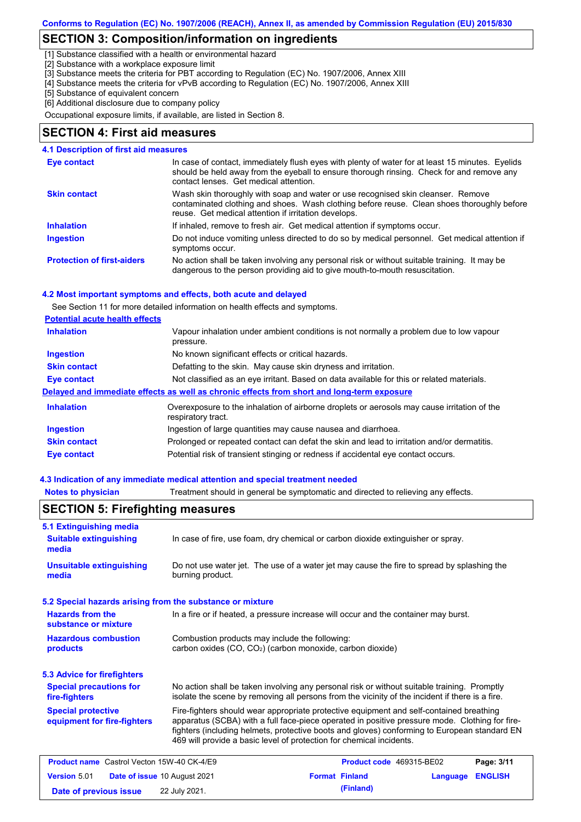## **SECTION 3: Composition/information on ingredients**

[1] Substance classified with a health or environmental hazard

[2] Substance with a workplace exposure limit

[3] Substance meets the criteria for PBT according to Regulation (EC) No. 1907/2006, Annex XIII

[4] Substance meets the criteria for vPvB according to Regulation (EC) No. 1907/2006, Annex XIII

[5] Substance of equivalent concern

[6] Additional disclosure due to company policy

Occupational exposure limits, if available, are listed in Section 8.

#### **SECTION 4: First aid measures**

| <b>4.1 Description of first aid measures</b> |                                                                                                                                                                                                                                         |
|----------------------------------------------|-----------------------------------------------------------------------------------------------------------------------------------------------------------------------------------------------------------------------------------------|
| Eye contact                                  | In case of contact, immediately flush eyes with plenty of water for at least 15 minutes. Eyelids<br>should be held away from the eyeball to ensure thorough rinsing. Check for and remove any<br>contact lenses. Get medical attention. |
| <b>Skin contact</b>                          | Wash skin thoroughly with soap and water or use recognised skin cleanser. Remove<br>contaminated clothing and shoes. Wash clothing before reuse. Clean shoes thoroughly before<br>reuse. Get medical attention if irritation develops.  |
| <b>Inhalation</b>                            | If inhaled, remove to fresh air. Get medical attention if symptoms occur.                                                                                                                                                               |
| <b>Ingestion</b>                             | Do not induce vomiting unless directed to do so by medical personnel. Get medical attention if<br>symptoms occur.                                                                                                                       |
| <b>Protection of first-aiders</b>            | No action shall be taken involving any personal risk or without suitable training. It may be<br>dangerous to the person providing aid to give mouth-to-mouth resuscitation.                                                             |

#### **4.2 Most important symptoms and effects, both acute and delayed**

See Section 11 for more detailed information on health effects and symptoms.

#### **Potential acute health effects**

| <b>Inhalation</b>   | Vapour inhalation under ambient conditions is not normally a problem due to low vapour<br>pressure.               |  |  |  |
|---------------------|-------------------------------------------------------------------------------------------------------------------|--|--|--|
| <b>Ingestion</b>    | No known significant effects or critical hazards.                                                                 |  |  |  |
| <b>Skin contact</b> | Defatting to the skin. May cause skin dryness and irritation.                                                     |  |  |  |
| Eye contact         | Not classified as an eye irritant. Based on data available for this or related materials.                         |  |  |  |
|                     | Delayed and immediate effects as well as chronic effects from short and long-term exposure                        |  |  |  |
| <b>Inhalation</b>   | Overexposure to the inhalation of airborne droplets or aerosols may cause irritation of the<br>respiratory tract. |  |  |  |
| <b>Ingestion</b>    | Ingestion of large quantities may cause nausea and diarrhoea.                                                     |  |  |  |
| <b>Skin contact</b> | Prolonged or repeated contact can defat the skin and lead to irritation and/or dermatitis.                        |  |  |  |
| <b>Eye contact</b>  | Potential risk of transient stinging or redness if accidental eye contact occurs.                                 |  |  |  |

#### **4.3 Indication of any immediate medical attention and special treatment needed**

**Notes to physician** Treatment should in general be symptomatic and directed to relieving any effects.

| 5.1 Extinguishing media                                   |                                                                                                                                                                                                                                                                                                                                                                   |                       |                          |          |                |
|-----------------------------------------------------------|-------------------------------------------------------------------------------------------------------------------------------------------------------------------------------------------------------------------------------------------------------------------------------------------------------------------------------------------------------------------|-----------------------|--------------------------|----------|----------------|
| <b>Suitable extinguishing</b><br>media                    | In case of fire, use foam, dry chemical or carbon dioxide extinguisher or spray.                                                                                                                                                                                                                                                                                  |                       |                          |          |                |
| <b>Unsuitable extinguishing</b><br>media                  | Do not use water jet. The use of a water jet may cause the fire to spread by splashing the<br>burning product.                                                                                                                                                                                                                                                    |                       |                          |          |                |
| 5.2 Special hazards arising from the substance or mixture |                                                                                                                                                                                                                                                                                                                                                                   |                       |                          |          |                |
| <b>Hazards from the</b><br>substance or mixture           | In a fire or if heated, a pressure increase will occur and the container may burst.                                                                                                                                                                                                                                                                               |                       |                          |          |                |
| <b>Hazardous combustion</b><br>products                   | Combustion products may include the following:<br>carbon oxides (CO, CO <sub>2</sub> ) (carbon monoxide, carbon dioxide)                                                                                                                                                                                                                                          |                       |                          |          |                |
| <b>5.3 Advice for firefighters</b>                        |                                                                                                                                                                                                                                                                                                                                                                   |                       |                          |          |                |
| <b>Special precautions for</b><br>fire-fighters           | No action shall be taken involving any personal risk or without suitable training. Promptly<br>isolate the scene by removing all persons from the vicinity of the incident if there is a fire.                                                                                                                                                                    |                       |                          |          |                |
| <b>Special protective</b><br>equipment for fire-fighters  | Fire-fighters should wear appropriate protective equipment and self-contained breathing<br>apparatus (SCBA) with a full face-piece operated in positive pressure mode. Clothing for fire-<br>fighters (including helmets, protective boots and gloves) conforming to European standard EN<br>469 will provide a basic level of protection for chemical incidents. |                       |                          |          |                |
| <b>Product name</b> Castrol Vecton 15W-40 CK-4/E9         |                                                                                                                                                                                                                                                                                                                                                                   |                       | Product code 469315-BE02 |          | Page: 3/11     |
| <b>Version 5.01</b>                                       | Date of issue 10 August 2021                                                                                                                                                                                                                                                                                                                                      | <b>Format Finland</b> |                          | Language | <b>ENGLISH</b> |
| Date of previous issue                                    | 22 July 2021.                                                                                                                                                                                                                                                                                                                                                     |                       | (Finland)                |          |                |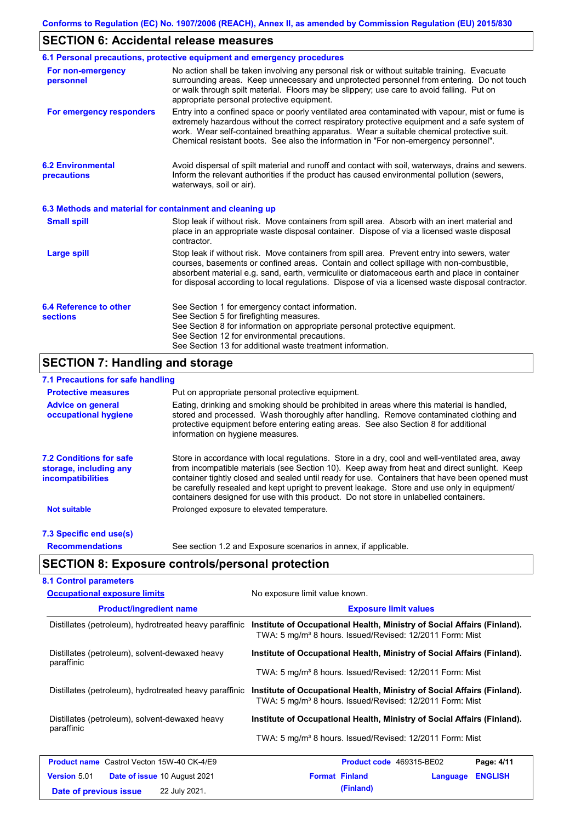# **SECTION 6: Accidental release measures**

|                                                          | 6.1 Personal precautions, protective equipment and emergency procedures                                                                                                                                                                                                                                                                                                                        |  |  |  |
|----------------------------------------------------------|------------------------------------------------------------------------------------------------------------------------------------------------------------------------------------------------------------------------------------------------------------------------------------------------------------------------------------------------------------------------------------------------|--|--|--|
| For non-emergency<br>personnel                           | No action shall be taken involving any personal risk or without suitable training. Evacuate<br>surrounding areas. Keep unnecessary and unprotected personnel from entering. Do not touch<br>or walk through spilt material. Floors may be slippery; use care to avoid falling. Put on<br>appropriate personal protective equipment.                                                            |  |  |  |
| For emergency responders                                 | Entry into a confined space or poorly ventilated area contaminated with vapour, mist or fume is<br>extremely hazardous without the correct respiratory protective equipment and a safe system of<br>work. Wear self-contained breathing apparatus. Wear a suitable chemical protective suit.<br>Chemical resistant boots. See also the information in "For non-emergency personnel".           |  |  |  |
| <b>6.2 Environmental</b><br>precautions                  | Avoid dispersal of spilt material and runoff and contact with soil, waterways, drains and sewers.<br>Inform the relevant authorities if the product has caused environmental pollution (sewers,<br>waterways, soil or air).                                                                                                                                                                    |  |  |  |
| 6.3 Methods and material for containment and cleaning up |                                                                                                                                                                                                                                                                                                                                                                                                |  |  |  |
| <b>Small spill</b>                                       | Stop leak if without risk. Move containers from spill area. Absorb with an inert material and<br>place in an appropriate waste disposal container. Dispose of via a licensed waste disposal<br>contractor.                                                                                                                                                                                     |  |  |  |
| <b>Large spill</b>                                       | Stop leak if without risk. Move containers from spill area. Prevent entry into sewers, water<br>courses, basements or confined areas. Contain and collect spillage with non-combustible,<br>absorbent material e.g. sand, earth, vermiculite or diatomaceous earth and place in container<br>for disposal according to local regulations. Dispose of via a licensed waste disposal contractor. |  |  |  |
| 6.4 Reference to other<br><b>sections</b>                | See Section 1 for emergency contact information.<br>See Section 5 for firefighting measures.<br>See Section 8 for information on appropriate personal protective equipment.<br>See Section 12 for environmental precautions.<br>See Section 13 for additional waste treatment information.                                                                                                     |  |  |  |

# **SECTION 7: Handling and storage**

### **7.1 Precautions for safe handling**

| <b>Protective measures</b>                                                           | Put on appropriate personal protective equipment.                                                                                                                                                                                                                                                                                                                                                                                                                                        |
|--------------------------------------------------------------------------------------|------------------------------------------------------------------------------------------------------------------------------------------------------------------------------------------------------------------------------------------------------------------------------------------------------------------------------------------------------------------------------------------------------------------------------------------------------------------------------------------|
| <b>Advice on general</b><br>occupational hygiene                                     | Eating, drinking and smoking should be prohibited in areas where this material is handled,<br>stored and processed. Wash thoroughly after handling. Remove contaminated clothing and<br>protective equipment before entering eating areas. See also Section 8 for additional<br>information on hygiene measures.                                                                                                                                                                         |
| <b>7.2 Conditions for safe</b><br>storage, including any<br><i>incompatibilities</i> | Store in accordance with local requiations. Store in a dry, cool and well-ventilated area, away<br>from incompatible materials (see Section 10). Keep away from heat and direct sunlight. Keep<br>container tightly closed and sealed until ready for use. Containers that have been opened must<br>be carefully resealed and kept upright to prevent leakage. Store and use only in equipment/<br>containers designed for use with this product. Do not store in unlabelled containers. |
| <b>Not suitable</b>                                                                  | Prolonged exposure to elevated temperature.                                                                                                                                                                                                                                                                                                                                                                                                                                              |
| 7.3 Specific end use(s)                                                              |                                                                                                                                                                                                                                                                                                                                                                                                                                                                                          |
| <b>Recommendations</b>                                                               | See section 1.2 and Exposure scenarios in annex, if applicable.                                                                                                                                                                                                                                                                                                                                                                                                                          |

# **SECTION 8: Exposure controls/personal protection**

| <b>Occupational exposure limits</b>                          | No exposure limit value known.                                                                                                                  |  |  |  |
|--------------------------------------------------------------|-------------------------------------------------------------------------------------------------------------------------------------------------|--|--|--|
| <b>Product/ingredient name</b>                               | <b>Exposure limit values</b>                                                                                                                    |  |  |  |
| Distillates (petroleum), hydrotreated heavy paraffinic       | Institute of Occupational Health, Ministry of Social Affairs (Finland).<br>TWA: 5 mg/m <sup>3</sup> 8 hours. Issued/Revised: 12/2011 Form: Mist |  |  |  |
| Distillates (petroleum), solvent-dewaxed heavy<br>paraffinic | Institute of Occupational Health, Ministry of Social Affairs (Finland).                                                                         |  |  |  |
|                                                              | TWA: 5 mg/m <sup>3</sup> 8 hours. Issued/Revised: 12/2011 Form: Mist                                                                            |  |  |  |
| Distillates (petroleum), hydrotreated heavy paraffinic       | Institute of Occupational Health, Ministry of Social Affairs (Finland).<br>TWA: 5 mg/m <sup>3</sup> 8 hours. Issued/Revised: 12/2011 Form: Mist |  |  |  |
| Distillates (petroleum), solvent-dewaxed heavy               | Institute of Occupational Health, Ministry of Social Affairs (Finland).                                                                         |  |  |  |
| paraffinic                                                   | TWA: 5 mg/m <sup>3</sup> 8 hours. Issued/Revised: 12/2011 Form: Mist                                                                            |  |  |  |
| <b>Product name</b> Castrol Vecton 15W-40 CK-4/E9            | Product code 469315-BE02<br>Page: 4/11                                                                                                          |  |  |  |
| <b>Version 5.01</b><br><b>Date of issue 10 August 2021</b>   | <b>Format Finland</b><br><b>ENGLISH</b><br>Language                                                                                             |  |  |  |
| 22 July 2021.<br>Date of previous issue                      | (Finland)                                                                                                                                       |  |  |  |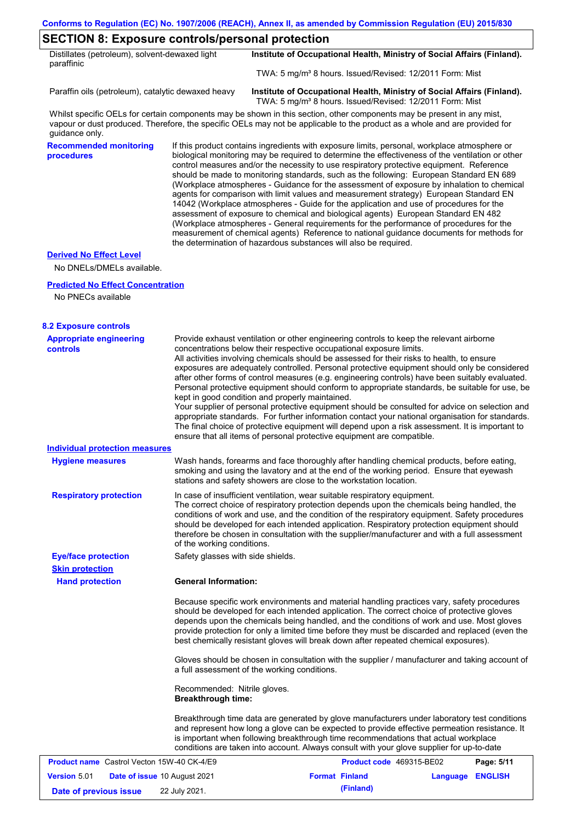### **SECTION 8: Exposure controls/personal protection**

| Distillates (petroleum), solvent-dewaxed light<br>paraffinic | Institute of Occupational Health, Ministry of Social Affairs (Finland). |
|--------------------------------------------------------------|-------------------------------------------------------------------------|
|                                                              | TWA: 5 mg/m <sup>3</sup> 8 hours. Issued/Revised: 12/2011 Form: Mist    |

Paraffin oils (petroleum), catalytic dewaxed heavy **Institute of Occupational Health, Ministry of Social Affairs (Finland).** TWA: 5 mg/m<sup>3</sup> 8 hours. Issued/Revised: 12/2011 Form: Mist

Whilst specific OELs for certain components may be shown in this section, other components may be present in any mist, vapour or dust produced. Therefore, the specific OELs may not be applicable to the product as a whole and are provided for guidance only.

**Recommended monitoring procedures**

If this product contains ingredients with exposure limits, personal, workplace atmosphere or biological monitoring may be required to determine the effectiveness of the ventilation or other control measures and/or the necessity to use respiratory protective equipment. Reference should be made to monitoring standards, such as the following: European Standard EN 689 (Workplace atmospheres - Guidance for the assessment of exposure by inhalation to chemical agents for comparison with limit values and measurement strategy) European Standard EN 14042 (Workplace atmospheres - Guide for the application and use of procedures for the assessment of exposure to chemical and biological agents) European Standard EN 482 (Workplace atmospheres - General requirements for the performance of procedures for the measurement of chemical agents) Reference to national guidance documents for methods for the determination of hazardous substances will also be required.

#### **Derived No Effect Level**

No DNELs/DMELs available.

#### **Predicted No Effect Concentration**

No PNECs available

| <b>8.2 Exposure controls</b>                               |                                                                                                                                                                                                                                                                                                                                                                                                                                                                                                                                                                                                                                                                                                                                                                                                                                                                                                                                                                                                         |                          |                  |            |
|------------------------------------------------------------|---------------------------------------------------------------------------------------------------------------------------------------------------------------------------------------------------------------------------------------------------------------------------------------------------------------------------------------------------------------------------------------------------------------------------------------------------------------------------------------------------------------------------------------------------------------------------------------------------------------------------------------------------------------------------------------------------------------------------------------------------------------------------------------------------------------------------------------------------------------------------------------------------------------------------------------------------------------------------------------------------------|--------------------------|------------------|------------|
| <b>Appropriate engineering</b><br><b>controls</b>          | Provide exhaust ventilation or other engineering controls to keep the relevant airborne<br>concentrations below their respective occupational exposure limits.<br>All activities involving chemicals should be assessed for their risks to health, to ensure<br>exposures are adequately controlled. Personal protective equipment should only be considered<br>after other forms of control measures (e.g. engineering controls) have been suitably evaluated.<br>Personal protective equipment should conform to appropriate standards, be suitable for use, be<br>kept in good condition and properly maintained.<br>Your supplier of personal protective equipment should be consulted for advice on selection and<br>appropriate standards. For further information contact your national organisation for standards.<br>The final choice of protective equipment will depend upon a risk assessment. It is important to<br>ensure that all items of personal protective equipment are compatible. |                          |                  |            |
| <b>Individual protection measures</b>                      |                                                                                                                                                                                                                                                                                                                                                                                                                                                                                                                                                                                                                                                                                                                                                                                                                                                                                                                                                                                                         |                          |                  |            |
| <b>Hygiene measures</b>                                    | Wash hands, forearms and face thoroughly after handling chemical products, before eating,<br>smoking and using the lavatory and at the end of the working period. Ensure that eyewash<br>stations and safety showers are close to the workstation location.                                                                                                                                                                                                                                                                                                                                                                                                                                                                                                                                                                                                                                                                                                                                             |                          |                  |            |
| <b>Respiratory protection</b>                              | In case of insufficient ventilation, wear suitable respiratory equipment.<br>The correct choice of respiratory protection depends upon the chemicals being handled, the<br>conditions of work and use, and the condition of the respiratory equipment. Safety procedures<br>should be developed for each intended application. Respiratory protection equipment should<br>therefore be chosen in consultation with the supplier/manufacturer and with a full assessment<br>of the working conditions.                                                                                                                                                                                                                                                                                                                                                                                                                                                                                                   |                          |                  |            |
| <b>Eye/face protection</b>                                 | Safety glasses with side shields.                                                                                                                                                                                                                                                                                                                                                                                                                                                                                                                                                                                                                                                                                                                                                                                                                                                                                                                                                                       |                          |                  |            |
| <b>Skin protection</b>                                     |                                                                                                                                                                                                                                                                                                                                                                                                                                                                                                                                                                                                                                                                                                                                                                                                                                                                                                                                                                                                         |                          |                  |            |
| <b>Hand protection</b>                                     | <b>General Information:</b>                                                                                                                                                                                                                                                                                                                                                                                                                                                                                                                                                                                                                                                                                                                                                                                                                                                                                                                                                                             |                          |                  |            |
|                                                            | Because specific work environments and material handling practices vary, safety procedures<br>should be developed for each intended application. The correct choice of protective gloves<br>depends upon the chemicals being handled, and the conditions of work and use. Most gloves<br>provide protection for only a limited time before they must be discarded and replaced (even the<br>best chemically resistant gloves will break down after repeated chemical exposures).                                                                                                                                                                                                                                                                                                                                                                                                                                                                                                                        |                          |                  |            |
|                                                            | Gloves should be chosen in consultation with the supplier / manufacturer and taking account of<br>a full assessment of the working conditions.                                                                                                                                                                                                                                                                                                                                                                                                                                                                                                                                                                                                                                                                                                                                                                                                                                                          |                          |                  |            |
|                                                            | Recommended: Nitrile gloves.<br><b>Breakthrough time:</b>                                                                                                                                                                                                                                                                                                                                                                                                                                                                                                                                                                                                                                                                                                                                                                                                                                                                                                                                               |                          |                  |            |
|                                                            | Breakthrough time data are generated by glove manufacturers under laboratory test conditions<br>and represent how long a glove can be expected to provide effective permeation resistance. It<br>is important when following breakthrough time recommendations that actual workplace<br>conditions are taken into account. Always consult with your glove supplier for up-to-date                                                                                                                                                                                                                                                                                                                                                                                                                                                                                                                                                                                                                       |                          |                  |            |
| <b>Product name</b> Castrol Vecton 15W-40 CK-4/E9          |                                                                                                                                                                                                                                                                                                                                                                                                                                                                                                                                                                                                                                                                                                                                                                                                                                                                                                                                                                                                         | Product code 469315-BE02 |                  | Page: 5/11 |
| <b>Version 5.01</b><br><b>Date of issue 10 August 2021</b> |                                                                                                                                                                                                                                                                                                                                                                                                                                                                                                                                                                                                                                                                                                                                                                                                                                                                                                                                                                                                         | <b>Format Finland</b>    | Language ENGLISH |            |
| Date of previous issue                                     | 22 July 2021.                                                                                                                                                                                                                                                                                                                                                                                                                                                                                                                                                                                                                                                                                                                                                                                                                                                                                                                                                                                           | (Finland)                |                  |            |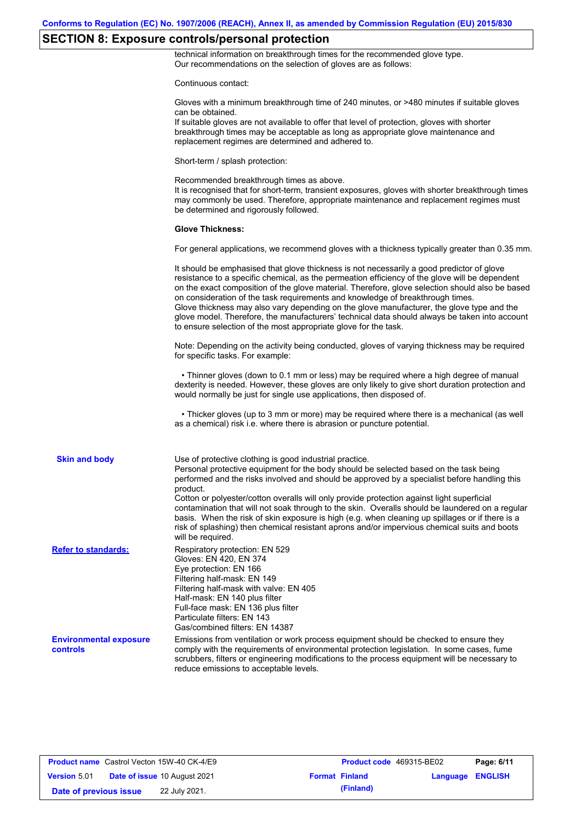# **SECTION 8: Exposure controls/personal protection**

technical information on breakthrough times for the recommended glove type. Our recommendations on the selection of gloves are as follows:

Continuous contact:

|                                           | Gloves with a minimum breakthrough time of 240 minutes, or >480 minutes if suitable gloves<br>can be obtained.<br>If suitable gloves are not available to offer that level of protection, gloves with shorter<br>breakthrough times may be acceptable as long as appropriate glove maintenance and<br>replacement regimes are determined and adhered to.                                                                                                                                                                                                                                                                                                                              |
|-------------------------------------------|---------------------------------------------------------------------------------------------------------------------------------------------------------------------------------------------------------------------------------------------------------------------------------------------------------------------------------------------------------------------------------------------------------------------------------------------------------------------------------------------------------------------------------------------------------------------------------------------------------------------------------------------------------------------------------------|
|                                           | Short-term / splash protection:                                                                                                                                                                                                                                                                                                                                                                                                                                                                                                                                                                                                                                                       |
|                                           | Recommended breakthrough times as above.<br>It is recognised that for short-term, transient exposures, gloves with shorter breakthrough times<br>may commonly be used. Therefore, appropriate maintenance and replacement regimes must<br>be determined and rigorously followed.                                                                                                                                                                                                                                                                                                                                                                                                      |
|                                           | <b>Glove Thickness:</b>                                                                                                                                                                                                                                                                                                                                                                                                                                                                                                                                                                                                                                                               |
|                                           | For general applications, we recommend gloves with a thickness typically greater than 0.35 mm.                                                                                                                                                                                                                                                                                                                                                                                                                                                                                                                                                                                        |
|                                           | It should be emphasised that glove thickness is not necessarily a good predictor of glove<br>resistance to a specific chemical, as the permeation efficiency of the glove will be dependent<br>on the exact composition of the glove material. Therefore, glove selection should also be based<br>on consideration of the task requirements and knowledge of breakthrough times.<br>Glove thickness may also vary depending on the glove manufacturer, the glove type and the<br>glove model. Therefore, the manufacturers' technical data should always be taken into account<br>to ensure selection of the most appropriate glove for the task.                                     |
|                                           | Note: Depending on the activity being conducted, gloves of varying thickness may be required<br>for specific tasks. For example:                                                                                                                                                                                                                                                                                                                                                                                                                                                                                                                                                      |
|                                           | • Thinner gloves (down to 0.1 mm or less) may be required where a high degree of manual<br>dexterity is needed. However, these gloves are only likely to give short duration protection and<br>would normally be just for single use applications, then disposed of.                                                                                                                                                                                                                                                                                                                                                                                                                  |
|                                           | • Thicker gloves (up to 3 mm or more) may be required where there is a mechanical (as well<br>as a chemical) risk i.e. where there is abrasion or puncture potential.                                                                                                                                                                                                                                                                                                                                                                                                                                                                                                                 |
| <b>Skin and body</b>                      | Use of protective clothing is good industrial practice.<br>Personal protective equipment for the body should be selected based on the task being<br>performed and the risks involved and should be approved by a specialist before handling this<br>product.<br>Cotton or polyester/cotton overalls will only provide protection against light superficial<br>contamination that will not soak through to the skin. Overalls should be laundered on a regular<br>basis. When the risk of skin exposure is high (e.g. when cleaning up spillages or if there is a<br>risk of splashing) then chemical resistant aprons and/or impervious chemical suits and boots<br>will be required. |
| <b>Refer to standards:</b>                | Respiratory protection: EN 529<br>Gloves: EN 420, EN 374<br>Eye protection: EN 166<br>Filtering half-mask: EN 149<br>Filtering half-mask with valve: EN 405<br>Half-mask: EN 140 plus filter<br>Full-face mask: EN 136 plus filter<br>Particulate filters: EN 143<br>Gas/combined filters: EN 14387                                                                                                                                                                                                                                                                                                                                                                                   |
| <b>Environmental exposure</b><br>controls | Emissions from ventilation or work process equipment should be checked to ensure they<br>comply with the requirements of environmental protection legislation. In some cases, fume<br>scrubbers, filters or engineering modifications to the process equipment will be necessary to<br>reduce emissions to acceptable levels.                                                                                                                                                                                                                                                                                                                                                         |
|                                           |                                                                                                                                                                                                                                                                                                                                                                                                                                                                                                                                                                                                                                                                                       |

| <b>Product name</b> Castrol Vecton 15W-40 CK-4/E9 |                                     | Product code 469315-BE02 |                         | Page: 6/11 |
|---------------------------------------------------|-------------------------------------|--------------------------|-------------------------|------------|
| <b>Version 5.01</b>                               | <b>Date of issue 10 August 2021</b> | <b>Format Finland</b>    | <b>Language ENGLISH</b> |            |
| Date of previous issue                            | 22 July 2021.                       | (Finland)                |                         |            |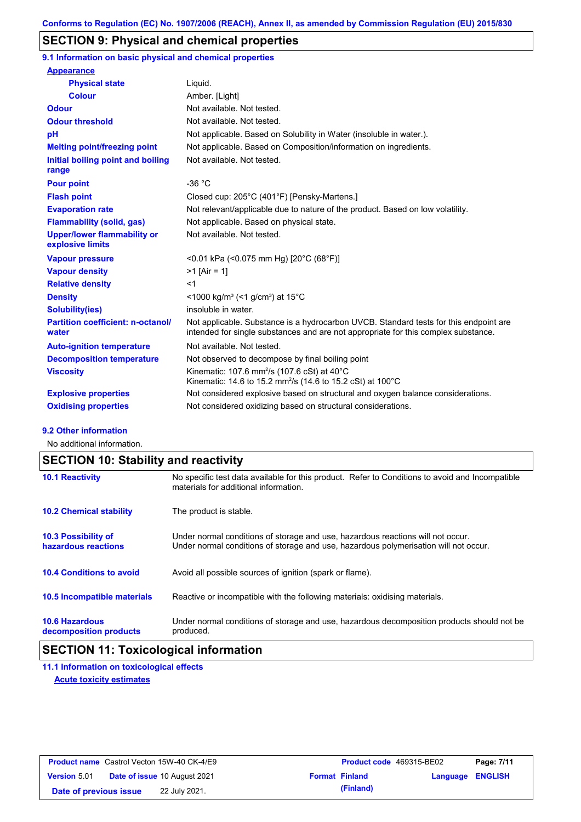## **SECTION 9: Physical and chemical properties**

**9.1 Information on basic physical and chemical properties**

| <b>Appearance</b>                                      |                                                                                                                                                                             |
|--------------------------------------------------------|-----------------------------------------------------------------------------------------------------------------------------------------------------------------------------|
| <b>Physical state</b>                                  | Liquid.                                                                                                                                                                     |
| <b>Colour</b>                                          | Amber. [Light]                                                                                                                                                              |
| <b>Odour</b>                                           | Not available. Not tested.                                                                                                                                                  |
| <b>Odour threshold</b>                                 | Not available. Not tested.                                                                                                                                                  |
| pH                                                     | Not applicable. Based on Solubility in Water (insoluble in water.).                                                                                                         |
| <b>Melting point/freezing point</b>                    | Not applicable. Based on Composition/information on ingredients.                                                                                                            |
| Initial boiling point and boiling<br>range             | Not available. Not tested.                                                                                                                                                  |
| <b>Pour point</b>                                      | $-36 °C$                                                                                                                                                                    |
| <b>Flash point</b>                                     | Closed cup: 205°C (401°F) [Pensky-Martens.]                                                                                                                                 |
| <b>Evaporation rate</b>                                | Not relevant/applicable due to nature of the product. Based on low volatility.                                                                                              |
| <b>Flammability (solid, gas)</b>                       | Not applicable. Based on physical state.                                                                                                                                    |
| <b>Upper/lower flammability or</b><br>explosive limits | Not available. Not tested.                                                                                                                                                  |
| <b>Vapour pressure</b>                                 | <0.01 kPa (<0.075 mm Hg) [20°C (68°F)]                                                                                                                                      |
| <b>Vapour density</b>                                  | $>1$ [Air = 1]                                                                                                                                                              |
| <b>Relative density</b>                                | $<$ 1                                                                                                                                                                       |
| <b>Density</b>                                         | $\leq$ 1000 kg/m <sup>3</sup> (<1 g/cm <sup>3</sup> ) at 15 <sup>°</sup> C                                                                                                  |
| <b>Solubility(ies)</b>                                 | insoluble in water.                                                                                                                                                         |
| <b>Partition coefficient: n-octanol/</b><br>water      | Not applicable. Substance is a hydrocarbon UVCB. Standard tests for this endpoint are<br>intended for single substances and are not appropriate for this complex substance. |
| <b>Auto-ignition temperature</b>                       | Not available. Not tested.                                                                                                                                                  |
| <b>Decomposition temperature</b>                       | Not observed to decompose by final boiling point                                                                                                                            |
| <b>Viscosity</b>                                       | Kinematic: 107.6 mm <sup>2</sup> /s (107.6 cSt) at 40°C<br>Kinematic: 14.6 to 15.2 mm <sup>2</sup> /s (14.6 to 15.2 cSt) at 100 °C                                          |
| <b>Explosive properties</b>                            | Not considered explosive based on structural and oxygen balance considerations.                                                                                             |
| <b>Oxidising properties</b>                            | Not considered oxidizing based on structural considerations.                                                                                                                |

#### **9.2 Other information**

No additional information.

# **SECTION 10: Stability and reactivity**

| <b>10.1 Reactivity</b>                            | No specific test data available for this product. Refer to Conditions to avoid and Incompatible<br>materials for additional information.                                |
|---------------------------------------------------|-------------------------------------------------------------------------------------------------------------------------------------------------------------------------|
| <b>10.2 Chemical stability</b>                    | The product is stable.                                                                                                                                                  |
| <b>10.3 Possibility of</b><br>hazardous reactions | Under normal conditions of storage and use, hazardous reactions will not occur.<br>Under normal conditions of storage and use, hazardous polymerisation will not occur. |
| <b>10.4 Conditions to avoid</b>                   | Avoid all possible sources of ignition (spark or flame).                                                                                                                |
| <b>10.5 Incompatible materials</b>                | Reactive or incompatible with the following materials: oxidising materials.                                                                                             |
| <b>10.6 Hazardous</b><br>decomposition products   | Under normal conditions of storage and use, hazardous decomposition products should not be<br>produced.                                                                 |

# **SECTION 11: Toxicological information**

**11.1 Information on toxicological effects Acute toxicity estimates**

|                        | <b>Product name</b> Castrol Vecton 15W-40 CK-4/E9 | <b>Product code</b> 469315-BE02 |                  | Page: 7/11 |
|------------------------|---------------------------------------------------|---------------------------------|------------------|------------|
| <b>Version 5.01</b>    | <b>Date of issue 10 August 2021</b>               | <b>Format Finland</b>           | Language ENGLISH |            |
| Date of previous issue | 22 July 2021.                                     | (Finland)                       |                  |            |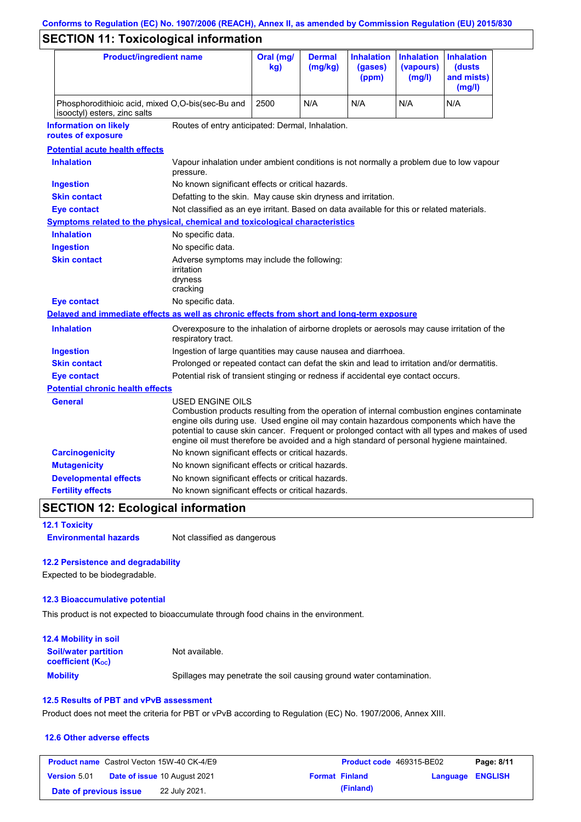# **Conforms to Regulation (EC) No. 1907/2006 (REACH), Annex II, as amended by Commission Regulation (EU) 2015/830**

# **SECTION 11: Toxicological information**

| <b>Product/ingredient name</b>                                                             |                                                                                                                                                                                                         | Oral (mg/<br>kg)                                                                           | <b>Dermal</b><br>(mg/kg) | <b>Inhalation</b><br>(gases)<br>(ppm) | <b>Inhalation</b><br>(vapours)<br>(mg/l) | <b>Inhalation</b><br>(dusts)<br>and mists)<br>(mg/l)                                                                                                                                          |
|--------------------------------------------------------------------------------------------|---------------------------------------------------------------------------------------------------------------------------------------------------------------------------------------------------------|--------------------------------------------------------------------------------------------|--------------------------|---------------------------------------|------------------------------------------|-----------------------------------------------------------------------------------------------------------------------------------------------------------------------------------------------|
| isooctyl) esters, zinc salts                                                               | Phosphorodithioic acid, mixed O,O-bis(sec-Bu and                                                                                                                                                        |                                                                                            | N/A                      | N/A                                   | N/A                                      | N/A                                                                                                                                                                                           |
| <b>Information on likely</b><br>routes of exposure                                         | Routes of entry anticipated: Dermal, Inhalation.                                                                                                                                                        |                                                                                            |                          |                                       |                                          |                                                                                                                                                                                               |
| <b>Potential acute health effects</b>                                                      |                                                                                                                                                                                                         |                                                                                            |                          |                                       |                                          |                                                                                                                                                                                               |
| <b>Inhalation</b>                                                                          | Vapour inhalation under ambient conditions is not normally a problem due to low vapour<br>pressure.                                                                                                     |                                                                                            |                          |                                       |                                          |                                                                                                                                                                                               |
| <b>Ingestion</b>                                                                           | No known significant effects or critical hazards.                                                                                                                                                       |                                                                                            |                          |                                       |                                          |                                                                                                                                                                                               |
| <b>Skin contact</b>                                                                        | Defatting to the skin. May cause skin dryness and irritation.                                                                                                                                           |                                                                                            |                          |                                       |                                          |                                                                                                                                                                                               |
| <b>Eye contact</b>                                                                         | Not classified as an eye irritant. Based on data available for this or related materials.                                                                                                               |                                                                                            |                          |                                       |                                          |                                                                                                                                                                                               |
| Symptoms related to the physical, chemical and toxicological characteristics               |                                                                                                                                                                                                         |                                                                                            |                          |                                       |                                          |                                                                                                                                                                                               |
| <b>Inhalation</b>                                                                          | No specific data.                                                                                                                                                                                       |                                                                                            |                          |                                       |                                          |                                                                                                                                                                                               |
| <b>Ingestion</b>                                                                           | No specific data.                                                                                                                                                                                       |                                                                                            |                          |                                       |                                          |                                                                                                                                                                                               |
| <b>Skin contact</b>                                                                        | irritation<br>dryness<br>cracking                                                                                                                                                                       | Adverse symptoms may include the following:                                                |                          |                                       |                                          |                                                                                                                                                                                               |
| <b>Eye contact</b>                                                                         | No specific data.                                                                                                                                                                                       |                                                                                            |                          |                                       |                                          |                                                                                                                                                                                               |
| Delayed and immediate effects as well as chronic effects from short and long-term exposure |                                                                                                                                                                                                         |                                                                                            |                          |                                       |                                          |                                                                                                                                                                                               |
| <b>Inhalation</b>                                                                          | Overexposure to the inhalation of airborne droplets or aerosols may cause irritation of the<br>respiratory tract.                                                                                       |                                                                                            |                          |                                       |                                          |                                                                                                                                                                                               |
| <b>Ingestion</b>                                                                           |                                                                                                                                                                                                         | Ingestion of large quantities may cause nausea and diarrhoea.                              |                          |                                       |                                          |                                                                                                                                                                                               |
| <b>Skin contact</b>                                                                        |                                                                                                                                                                                                         | Prolonged or repeated contact can defat the skin and lead to irritation and/or dermatitis. |                          |                                       |                                          |                                                                                                                                                                                               |
| <b>Eye contact</b>                                                                         |                                                                                                                                                                                                         | Potential risk of transient stinging or redness if accidental eye contact occurs.          |                          |                                       |                                          |                                                                                                                                                                                               |
| <b>Potential chronic health effects</b>                                                    |                                                                                                                                                                                                         |                                                                                            |                          |                                       |                                          |                                                                                                                                                                                               |
| General                                                                                    | USED ENGINE OILS<br>engine oils during use. Used engine oil may contain hazardous components which have the<br>engine oil must therefore be avoided and a high standard of personal hygiene maintained. |                                                                                            |                          |                                       |                                          | Combustion products resulting from the operation of internal combustion engines contaminate<br>potential to cause skin cancer. Frequent or prolonged contact with all types and makes of used |
| <b>Carcinogenicity</b>                                                                     | No known significant effects or critical hazards.                                                                                                                                                       |                                                                                            |                          |                                       |                                          |                                                                                                                                                                                               |
| <b>Mutagenicity</b>                                                                        | No known significant effects or critical hazards.                                                                                                                                                       |                                                                                            |                          |                                       |                                          |                                                                                                                                                                                               |
| <b>Developmental effects</b>                                                               |                                                                                                                                                                                                         | No known significant effects or critical hazards.                                          |                          |                                       |                                          |                                                                                                                                                                                               |
| <b>Fertility effects</b>                                                                   | No known significant effects or critical hazards.                                                                                                                                                       |                                                                                            |                          |                                       |                                          |                                                                                                                                                                                               |

## **SECTION 12: Ecological information**

**12.1 Toxicity**

**Environmental hazards** Not classified as dangerous

#### **12.2 Persistence and degradability**

Expected to be biodegradable.

#### **12.3 Bioaccumulative potential**

This product is not expected to bioaccumulate through food chains in the environment.

| <b>12.4 Mobility in soil</b>                                         |                                                                      |
|----------------------------------------------------------------------|----------------------------------------------------------------------|
| <b>Soil/water partition</b><br><b>coefficient</b> (K <sub>oc</sub> ) | Not available.                                                       |
| <b>Mobility</b>                                                      | Spillages may penetrate the soil causing ground water contamination. |

#### **12.5 Results of PBT and vPvB assessment**

Product does not meet the criteria for PBT or vPvB according to Regulation (EC) No. 1907/2006, Annex XIII.

#### **12.6 Other adverse effects**

|                        | <b>Product name</b> Castrol Vecton 15W-40 CK-4/E9 |                       | <b>Product code</b> 469315-BE02 | Page: 8/11 |
|------------------------|---------------------------------------------------|-----------------------|---------------------------------|------------|
| <b>Version 5.01</b>    | <b>Date of issue 10 August 2021</b>               | <b>Format Finland</b> | Language ENGLISH                |            |
| Date of previous issue | 22 July 2021.                                     | (Finland)             |                                 |            |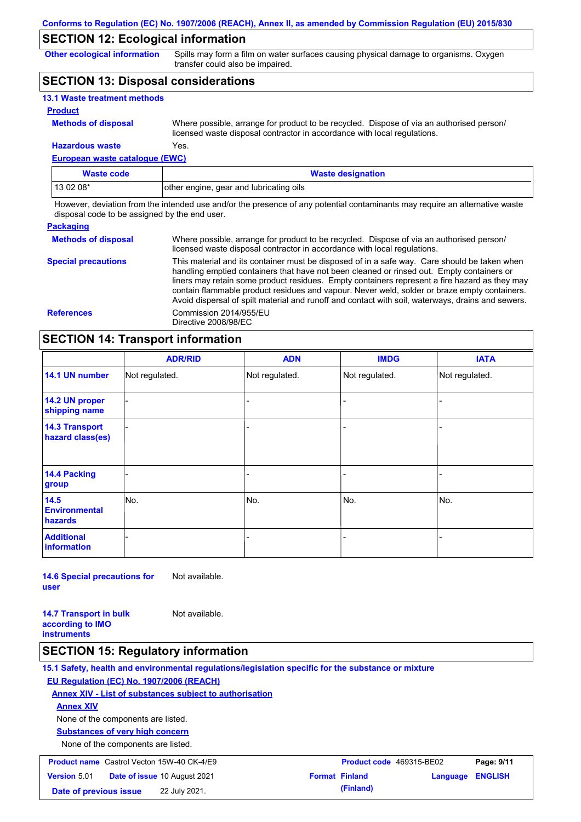### **SECTION 12: Ecological information**

**Other ecological information**

Spills may form a film on water surfaces causing physical damage to organisms. Oxygen transfer could also be impaired.

### **SECTION 13: Disposal considerations**

| <b>13.1 Waste treatment methods</b> |                                                                                                                                                                      |
|-------------------------------------|----------------------------------------------------------------------------------------------------------------------------------------------------------------------|
| <b>Product</b>                      |                                                                                                                                                                      |
| <b>Methods of disposal</b>          | Where possible, arrange for product to be recycled. Dispose of via an authorised person/<br>licensed waste disposal contractor in accordance with local regulations. |
| <b>Hazardous waste</b>              | Yes.                                                                                                                                                                 |

**European waste catalogue (EWC)**

| Waste code | <b>Waste designation</b>                |  |
|------------|-----------------------------------------|--|
| $130208*$  | other engine, gear and lubricating oils |  |

However, deviation from the intended use and/or the presence of any potential contaminants may require an alternative waste disposal code to be assigned by the end user.

| <b>Packaging</b>           |                                                                                                                                                                                                                                                                                                                                                                                                                                                                                                 |
|----------------------------|-------------------------------------------------------------------------------------------------------------------------------------------------------------------------------------------------------------------------------------------------------------------------------------------------------------------------------------------------------------------------------------------------------------------------------------------------------------------------------------------------|
| <b>Methods of disposal</b> | Where possible, arrange for product to be recycled. Dispose of via an authorised person/<br>licensed waste disposal contractor in accordance with local regulations.                                                                                                                                                                                                                                                                                                                            |
| <b>Special precautions</b> | This material and its container must be disposed of in a safe way. Care should be taken when<br>handling emptied containers that have not been cleaned or rinsed out. Empty containers or<br>liners may retain some product residues. Empty containers represent a fire hazard as they may<br>contain flammable product residues and vapour. Never weld, solder or braze empty containers.<br>Avoid dispersal of spilt material and runoff and contact with soil, waterways, drains and sewers. |
| <b>References</b>          | Commission 2014/955/EU<br>Directive 2008/98/EC                                                                                                                                                                                                                                                                                                                                                                                                                                                  |

## **SECTION 14: Transport information**

|                                           | <b>ADR/RID</b> | <b>ADN</b>     | <b>IMDG</b>    | <b>IATA</b>    |
|-------------------------------------------|----------------|----------------|----------------|----------------|
| 14.1 UN number                            | Not regulated. | Not regulated. | Not regulated. | Not regulated. |
| 14.2 UN proper<br>shipping name           |                |                | ۰              |                |
| <b>14.3 Transport</b><br>hazard class(es) |                |                |                |                |
| <b>14.4 Packing</b><br>group              |                |                |                |                |
| 14.5<br><b>Environmental</b><br>hazards   | No.            | No.            | No.            | No.            |
| <b>Additional</b><br><b>information</b>   |                |                |                |                |

**14.6 Special precautions for user** Not available.

**14.7 Transport in bulk according to IMO instruments** Not available.

### **SECTION 15: Regulatory information**

**15.1 Safety, health and environmental regulations/legislation specific for the substance or mixture EU Regulation (EC) No. 1907/2006 (REACH) Annex XIV - List of substances subject to authorisation Substances of very high concern** None of the components are listed. None of the components are listed. **Annex XIV Product name** Castrol Vecton 15W-40 CK-4/E9 **Product Code 469315-BE02 Page: 9/11 Version** 5.01 **Date of issue** 10 August 2021 **Format Finland Language ENGLISH Date of previous issue** 22 July 2021. **Conservative and Separate Conservative Conservative Conservative Conservative Conservative Conservative Conservative Conservative Conservative Conservative Conservative Conservative**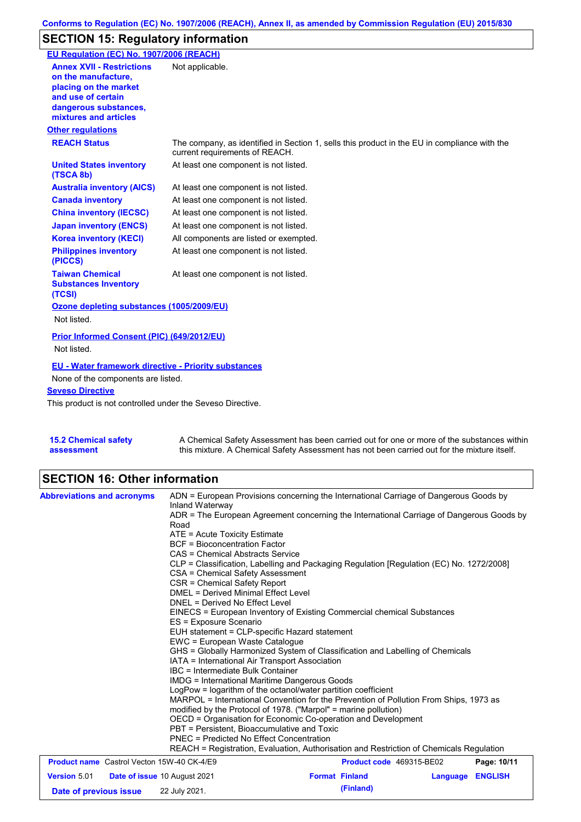# **SECTION 15: Regulatory information**

| EU Regulation (EC) No. 1907/2006 (REACH)                                                                                                                 |                                                                                                                                |
|----------------------------------------------------------------------------------------------------------------------------------------------------------|--------------------------------------------------------------------------------------------------------------------------------|
| <b>Annex XVII - Restrictions</b><br>on the manufacture.<br>placing on the market<br>and use of certain<br>dangerous substances,<br>mixtures and articles | Not applicable.                                                                                                                |
| <b>Other regulations</b>                                                                                                                                 |                                                                                                                                |
| <b>REACH Status</b>                                                                                                                                      | The company, as identified in Section 1, sells this product in the EU in compliance with the<br>current requirements of REACH. |
| <b>United States inventory</b><br>(TSCA 8b)                                                                                                              | At least one component is not listed.                                                                                          |
| <b>Australia inventory (AICS)</b>                                                                                                                        | At least one component is not listed.                                                                                          |
| <b>Canada inventory</b>                                                                                                                                  | At least one component is not listed.                                                                                          |
| <b>China inventory (IECSC)</b>                                                                                                                           | At least one component is not listed.                                                                                          |
| <b>Japan inventory (ENCS)</b>                                                                                                                            | At least one component is not listed.                                                                                          |
| <b>Korea inventory (KECI)</b>                                                                                                                            | All components are listed or exempted.                                                                                         |
| <b>Philippines inventory</b><br>(PICCS)                                                                                                                  | At least one component is not listed.                                                                                          |
| <b>Taiwan Chemical</b><br><b>Substances Inventory</b><br>(TCSI)                                                                                          | At least one component is not listed.                                                                                          |
| Ozone depleting substances (1005/2009/EU)<br>Not listed.                                                                                                 |                                                                                                                                |
| Prior Informed Consent (PIC) (649/2012/EU)<br>Not listed.                                                                                                |                                                                                                                                |
| EU - Water framework directive - Priority substances                                                                                                     |                                                                                                                                |
| None of the components are listed.                                                                                                                       |                                                                                                                                |
| <b>Seveso Directive</b>                                                                                                                                  |                                                                                                                                |
| This product is not controlled under the Seveso Directive.                                                                                               |                                                                                                                                |

**15.2 Chemical safety assessment** A Chemical Safety Assessment has been carried out for one or more of the substances within this mixture. A Chemical Safety Assessment has not been carried out for the mixture itself.

# **SECTION 16: Other information**

| <b>Abbreviations and acronyms</b>                          | ADN = European Provisions concerning the International Carriage of Dangerous Goods by<br>Inland Waterway<br>ADR = The European Agreement concerning the International Carriage of Dangerous Goods by<br>Road                |                          |          |                |  |                                                                                                                                                                                                                                                                                                                                                                                                              |  |  |  |  |  |
|------------------------------------------------------------|-----------------------------------------------------------------------------------------------------------------------------------------------------------------------------------------------------------------------------|--------------------------|----------|----------------|--|--------------------------------------------------------------------------------------------------------------------------------------------------------------------------------------------------------------------------------------------------------------------------------------------------------------------------------------------------------------------------------------------------------------|--|--|--|--|--|
|                                                            | $ATE = Acute Toxicity Estimate$                                                                                                                                                                                             |                          |          |                |  |                                                                                                                                                                                                                                                                                                                                                                                                              |  |  |  |  |  |
|                                                            | <b>BCF</b> = Bioconcentration Factor<br>CAS = Chemical Abstracts Service                                                                                                                                                    |                          |          |                |  |                                                                                                                                                                                                                                                                                                                                                                                                              |  |  |  |  |  |
|                                                            | CLP = Classification, Labelling and Packaging Regulation [Regulation (EC) No. 1272/2008]                                                                                                                                    |                          |          |                |  |                                                                                                                                                                                                                                                                                                                                                                                                              |  |  |  |  |  |
|                                                            | CSA = Chemical Safety Assessment                                                                                                                                                                                            |                          |          |                |  |                                                                                                                                                                                                                                                                                                                                                                                                              |  |  |  |  |  |
|                                                            | CSR = Chemical Safety Report                                                                                                                                                                                                |                          |          |                |  |                                                                                                                                                                                                                                                                                                                                                                                                              |  |  |  |  |  |
|                                                            | DMEL = Derived Minimal Effect Level<br>DNEL = Derived No Effect Level                                                                                                                                                       |                          |          |                |  |                                                                                                                                                                                                                                                                                                                                                                                                              |  |  |  |  |  |
|                                                            |                                                                                                                                                                                                                             |                          |          |                |  | EINECS = European Inventory of Existing Commercial chemical Substances<br>ES = Exposure Scenario<br>EUH statement = CLP-specific Hazard statement<br>EWC = European Waste Catalogue<br>GHS = Globally Harmonized System of Classification and Labelling of Chemicals<br>IATA = International Air Transport Association<br>IBC = Intermediate Bulk Container<br>IMDG = International Maritime Dangerous Goods |  |  |  |  |  |
|                                                            |                                                                                                                                                                                                                             |                          |          |                |  |                                                                                                                                                                                                                                                                                                                                                                                                              |  |  |  |  |  |
|                                                            |                                                                                                                                                                                                                             |                          |          |                |  |                                                                                                                                                                                                                                                                                                                                                                                                              |  |  |  |  |  |
|                                                            |                                                                                                                                                                                                                             |                          |          |                |  |                                                                                                                                                                                                                                                                                                                                                                                                              |  |  |  |  |  |
|                                                            |                                                                                                                                                                                                                             |                          |          |                |  |                                                                                                                                                                                                                                                                                                                                                                                                              |  |  |  |  |  |
|                                                            | LogPow = logarithm of the octanol/water partition coefficient                                                                                                                                                               |                          |          |                |  |                                                                                                                                                                                                                                                                                                                                                                                                              |  |  |  |  |  |
|                                                            | MARPOL = International Convention for the Prevention of Pollution From Ships, 1973 as                                                                                                                                       |                          |          |                |  |                                                                                                                                                                                                                                                                                                                                                                                                              |  |  |  |  |  |
|                                                            | modified by the Protocol of 1978. ("Marpol" = marine pollution)<br>OECD = Organisation for Economic Co-operation and Development<br>PBT = Persistent, Bioaccumulative and Toxic<br>PNEC = Predicted No Effect Concentration |                          |          |                |  |                                                                                                                                                                                                                                                                                                                                                                                                              |  |  |  |  |  |
|                                                            |                                                                                                                                                                                                                             |                          |          |                |  |                                                                                                                                                                                                                                                                                                                                                                                                              |  |  |  |  |  |
|                                                            |                                                                                                                                                                                                                             |                          |          |                |  |                                                                                                                                                                                                                                                                                                                                                                                                              |  |  |  |  |  |
|                                                            |                                                                                                                                                                                                                             |                          |          |                |  |                                                                                                                                                                                                                                                                                                                                                                                                              |  |  |  |  |  |
|                                                            | REACH = Registration, Evaluation, Authorisation and Restriction of Chemicals Regulation                                                                                                                                     |                          |          |                |  |                                                                                                                                                                                                                                                                                                                                                                                                              |  |  |  |  |  |
| <b>Product name</b> Castrol Vecton 15W-40 CK-4/E9          |                                                                                                                                                                                                                             | Product code 469315-BE02 |          | Page: 10/11    |  |                                                                                                                                                                                                                                                                                                                                                                                                              |  |  |  |  |  |
| <b>Version 5.01</b><br><b>Date of issue 10 August 2021</b> |                                                                                                                                                                                                                             | <b>Format Finland</b>    | Language | <b>ENGLISH</b> |  |                                                                                                                                                                                                                                                                                                                                                                                                              |  |  |  |  |  |
| Date of previous issue                                     | 22 July 2021.                                                                                                                                                                                                               | (Finland)                |          |                |  |                                                                                                                                                                                                                                                                                                                                                                                                              |  |  |  |  |  |